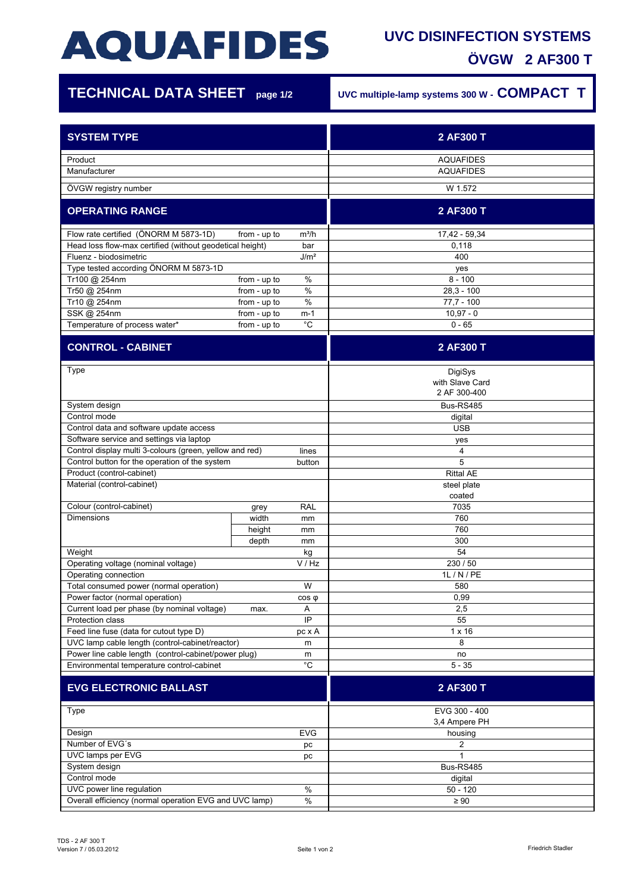# **AQUAFIDES**

### **UVC DISINFECTION SYSTEMS ÖVGW 2 AF300 T**

| <b>TECHNICAL DATA SHEET</b> page 1/2                                                                                        |                              |                                    | UVC multiple-lamp systems 300 W - COMPACT T |
|-----------------------------------------------------------------------------------------------------------------------------|------------------------------|------------------------------------|---------------------------------------------|
| <b>SYSTEM TYPE</b>                                                                                                          |                              |                                    | 2 AF300 T                                   |
| Product<br>Manufacturer                                                                                                     |                              |                                    | <b>AQUAFIDES</b><br><b>AQUAFIDES</b>        |
| ÖVGW registry number                                                                                                        |                              |                                    | W 1.572                                     |
| <b>OPERATING RANGE</b>                                                                                                      |                              |                                    | 2 AF300 T                                   |
| Flow rate certified (ÖNORM M 5873-1D)<br>Head loss flow-max certified (without geodetical height)<br>Fluenz - biodosimetric | from - up to                 | $m^3/h$<br>bar<br>J/m <sup>2</sup> | 17,42 - 59,34<br>0,118<br>400               |
| Type tested according ÖNORM M 5873-1D                                                                                       |                              |                                    | yes                                         |
| Tr100 @ 254nm<br>Tr50 @ 254nm                                                                                               | from - up to<br>from - up to | %<br>$\%$                          | $8 - 100$<br>$28,3 - 100$                   |
| Tr10 @ 254nm                                                                                                                | from - up to                 | %                                  | $77.7 - 100$                                |
| SSK @ 254nm                                                                                                                 | from - up to                 | m-1                                | $10,97 - 0$                                 |
| Temperature of process water*                                                                                               | from - up to                 | $^{\circ}C$                        | $0 - 65$                                    |
| <b>CONTROL - CABINET</b>                                                                                                    |                              |                                    | 2 AF300 T                                   |
| Type                                                                                                                        |                              |                                    | DigiSys<br>with Slave Card<br>2 AF 300-400  |
| System design                                                                                                               |                              |                                    | Bus-RS485                                   |
| Control mode<br>Control data and software update access                                                                     |                              |                                    | digital<br><b>USB</b>                       |
| Software service and settings via laptop                                                                                    |                              |                                    | yes                                         |
| Control display multi 3-colours (green, yellow and red)<br>lines                                                            |                              |                                    | 4                                           |
| Control button for the operation of the system<br>button<br>Product (control-cabinet)                                       |                              |                                    | 5<br><b>Rittal AE</b>                       |
| Material (control-cabinet)                                                                                                  |                              |                                    | steel plate<br>coated                       |
| Colour (control-cabinet)                                                                                                    | grey                         | RAL                                | 7035                                        |
| <b>Dimensions</b>                                                                                                           | width                        | mm                                 | 760                                         |
|                                                                                                                             | height                       | mm                                 | 760                                         |
| Weight                                                                                                                      | depth                        | mm<br>$\mathsf{k}\mathsf{g}$       | 300<br>54                                   |
| Operating voltage (nominal voltage)                                                                                         |                              | V / Hz                             | 230 / 50                                    |
| Operating connection                                                                                                        |                              |                                    | 1L / N / PE                                 |
| Total consumed power (normal operation)                                                                                     |                              | W                                  | 580                                         |
| Power factor (normal operation)<br>Current load per phase (by nominal voltage)                                              | max.                         | $cos \phi$<br>Α                    | 0,99<br>2,5                                 |
| Protection class                                                                                                            |                              | IP                                 | 55                                          |
| Feed line fuse (data for cutout type D)<br>pc x A                                                                           |                              | 1 x 16                             |                                             |
| UVC lamp cable length (control-cabinet/reactor)<br>m                                                                        |                              |                                    | 8                                           |
| Power line cable length (control-cabinet/power plug)<br>m                                                                   |                              |                                    | no                                          |
| Environmental temperature control-cabinet                                                                                   |                              | $^{\circ}C$                        | $5 - 35$                                    |
| <b>EVG ELECTRONIC BALLAST</b>                                                                                               |                              |                                    | 2 AF300 T                                   |
| Type                                                                                                                        |                              |                                    | EVG 300 - 400<br>3,4 Ampere PH              |
| Design<br><b>EVG</b>                                                                                                        |                              |                                    | housing                                     |
| Number of EVG's<br>pc<br>UVC lamps per EVG                                                                                  |                              | 2<br>1                             |                                             |
| рc<br>System design                                                                                                         |                              | Bus-RS485                          |                                             |
| Control mode                                                                                                                |                              |                                    | digital                                     |
| UVC power line regulation                                                                                                   |                              | $\%$                               | $50 - 120$                                  |

Overall efficiency (normal operation EVG and UVC lamp)  $\frac{9}{2}$  %  $\geq 90$